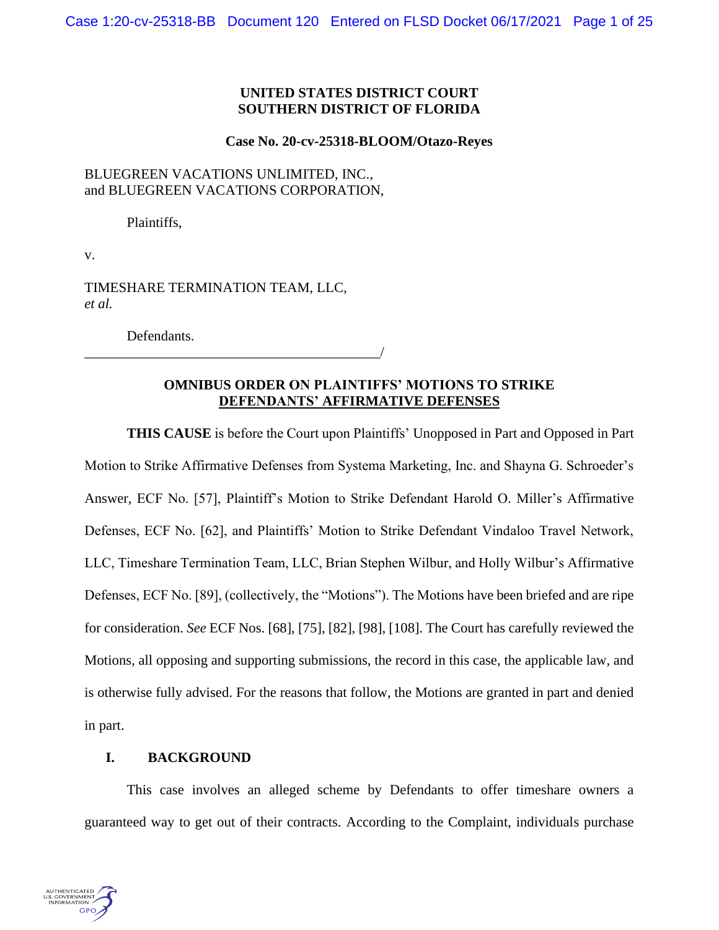# **UNITED STATES DISTRICT COURT SOUTHERN DISTRICT OF FLORIDA**

#### **Case No. 20-cv-25318-BLOOM/Otazo-Reyes**

# BLUEGREEN VACATIONS UNLIMITED, INC., and BLUEGREEN VACATIONS CORPORATION,

Plaintiffs,

v.

TIMESHARE TERMINATION TEAM, LLC, *et al.*

\_\_\_\_\_\_\_\_\_\_\_\_\_\_\_\_\_\_\_\_\_\_\_\_\_\_\_\_\_\_\_\_\_\_\_\_\_\_\_\_\_\_/

Defendants.

# **OMNIBUS ORDER ON PLAINTIFFS' MOTIONS TO STRIKE DEFENDANTS' AFFIRMATIVE DEFENSES**

**THIS CAUSE** is before the Court upon Plaintiffs' Unopposed in Part and Opposed in Part Motion to Strike Affirmative Defenses from Systema Marketing, Inc. and Shayna G. Schroeder's Answer, ECF No. [57], Plaintiff's Motion to Strike Defendant Harold O. Miller's Affirmative Defenses, ECF No. [62], and Plaintiffs' Motion to Strike Defendant Vindaloo Travel Network, LLC, Timeshare Termination Team, LLC, Brian Stephen Wilbur, and Holly Wilbur's Affirmative Defenses, ECF No. [89], (collectively, the "Motions"). The Motions have been briefed and are ripe for consideration. *See* ECF Nos. [68], [75], [82], [98], [108]. The Court has carefully reviewed the Motions, all opposing and supporting submissions, the record in this case, the applicable law, and is otherwise fully advised. For the reasons that follow, the Motions are granted in part and denied in part.

## **I. BACKGROUND**

This case involves an alleged scheme by Defendants to offer timeshare owners a guaranteed way to get out of their contracts. According to the Complaint, individuals purchase

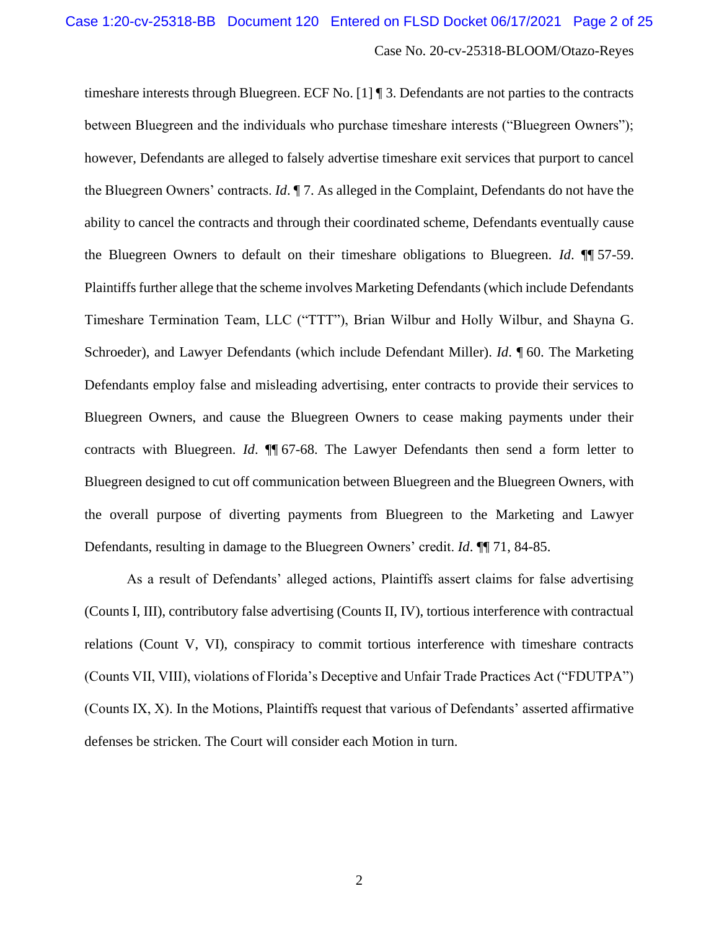timeshare interests through Bluegreen. ECF No. [1] ¶ 3. Defendants are not parties to the contracts between Bluegreen and the individuals who purchase timeshare interests ("Bluegreen Owners"); however, Defendants are alleged to falsely advertise timeshare exit services that purport to cancel the Bluegreen Owners' contracts. *Id*. ¶ 7. As alleged in the Complaint, Defendants do not have the ability to cancel the contracts and through their coordinated scheme, Defendants eventually cause the Bluegreen Owners to default on their timeshare obligations to Bluegreen. *Id*. ¶¶ 57-59. Plaintiffs further allege that the scheme involves Marketing Defendants (which include Defendants Timeshare Termination Team, LLC ("TTT"), Brian Wilbur and Holly Wilbur, and Shayna G. Schroeder), and Lawyer Defendants (which include Defendant Miller). *Id*. ¶ 60. The Marketing Defendants employ false and misleading advertising, enter contracts to provide their services to Bluegreen Owners, and cause the Bluegreen Owners to cease making payments under their contracts with Bluegreen. *Id*. ¶¶ 67-68. The Lawyer Defendants then send a form letter to Bluegreen designed to cut off communication between Bluegreen and the Bluegreen Owners, with the overall purpose of diverting payments from Bluegreen to the Marketing and Lawyer Defendants, resulting in damage to the Bluegreen Owners' credit. *Id*. ¶¶ 71, 84-85.

As a result of Defendants' alleged actions, Plaintiffs assert claims for false advertising (Counts I, III), contributory false advertising (Counts II, IV), tortious interference with contractual relations (Count V, VI), conspiracy to commit tortious interference with timeshare contracts (Counts VII, VIII), violations of Florida's Deceptive and Unfair Trade Practices Act ("FDUTPA") (Counts IX, X). In the Motions, Plaintiffs request that various of Defendants' asserted affirmative defenses be stricken. The Court will consider each Motion in turn.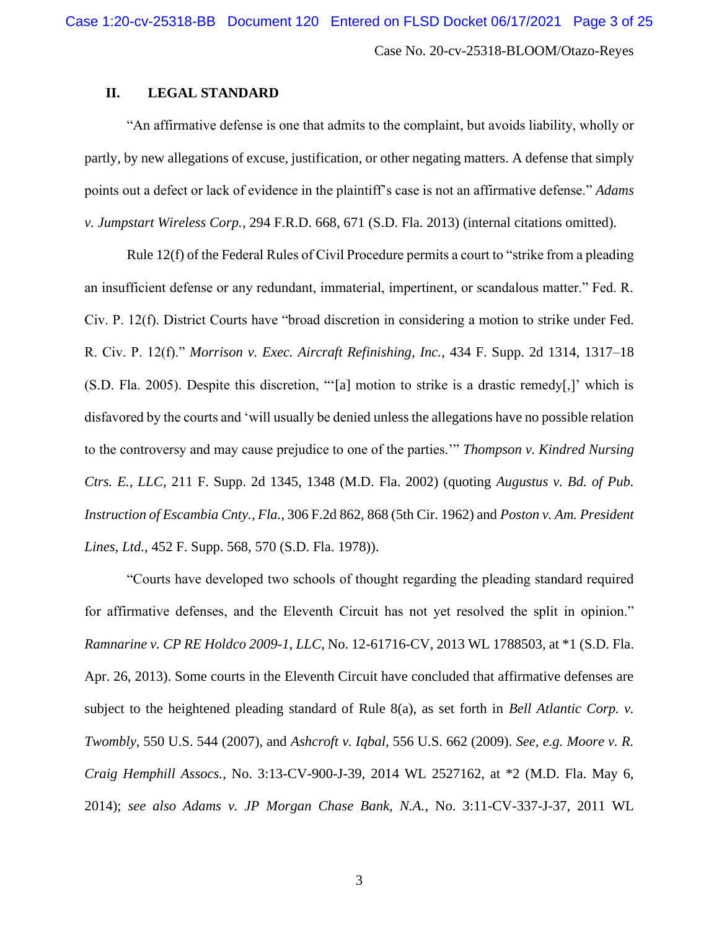# **II. LEGAL STANDARD**

"An affirmative defense is one that admits to the complaint, but avoids liability, wholly or partly, by new allegations of excuse, justification, or other negating matters. A defense that simply points out a defect or lack of evidence in the plaintiff's case is not an affirmative defense." *Adams v. Jumpstart Wireless Corp.*, 294 F.R.D. 668, 671 (S.D. Fla. 2013) (internal citations omitted).

Rule 12(f) of the Federal Rules of Civil Procedure permits a court to "strike from a pleading an insufficient defense or any redundant, immaterial, impertinent, or scandalous matter." Fed. R. Civ. P. 12(f). District Courts have "broad discretion in considering a motion to strike under Fed. R. Civ. P. 12(f)." *Morrison v. Exec. Aircraft Refinishing, Inc.*, 434 F. Supp. 2d 1314, 1317–18 (S.D. Fla. 2005). Despite this discretion, "'[a] motion to strike is a drastic remedy[,]' which is disfavored by the courts and 'will usually be denied unless the allegations have no possible relation to the controversy and may cause prejudice to one of the parties.'" *Thompson v. Kindred Nursing Ctrs. E., LLC*, 211 F. Supp. 2d 1345, 1348 (M.D. Fla. 2002) (quoting *Augustus v. Bd. of Pub. Instruction of Escambia Cnty., Fla.*, 306 F.2d 862, 868 (5th Cir. 1962) and *Poston v. Am. President Lines, Ltd.*, 452 F. Supp. 568, 570 (S.D. Fla. 1978)).

"Courts have developed two schools of thought regarding the pleading standard required for affirmative defenses, and the Eleventh Circuit has not yet resolved the split in opinion." *Ramnarine v. CP RE Holdco 2009-1*, *LLC*, No. 12-61716-CV, 2013 WL 1788503, at \*1 (S.D. Fla. Apr. 26, 2013). Some courts in the Eleventh Circuit have concluded that affirmative defenses are subject to the heightened pleading standard of Rule 8(a), as set forth in *Bell Atlantic Corp. v. Twombly*, 550 U.S. 544 (2007), and *Ashcroft v. Iqbal*, 556 U.S. 662 (2009). *See, e.g. Moore v. R. Craig Hemphill Assocs.*, No. 3:13-CV-900-J-39, 2014 WL 2527162, at \*2 (M.D. Fla. May 6, 2014); *see also Adams v. JP Morgan Chase Bank, N.A.*, No. 3:11-CV-337-J-37, 2011 WL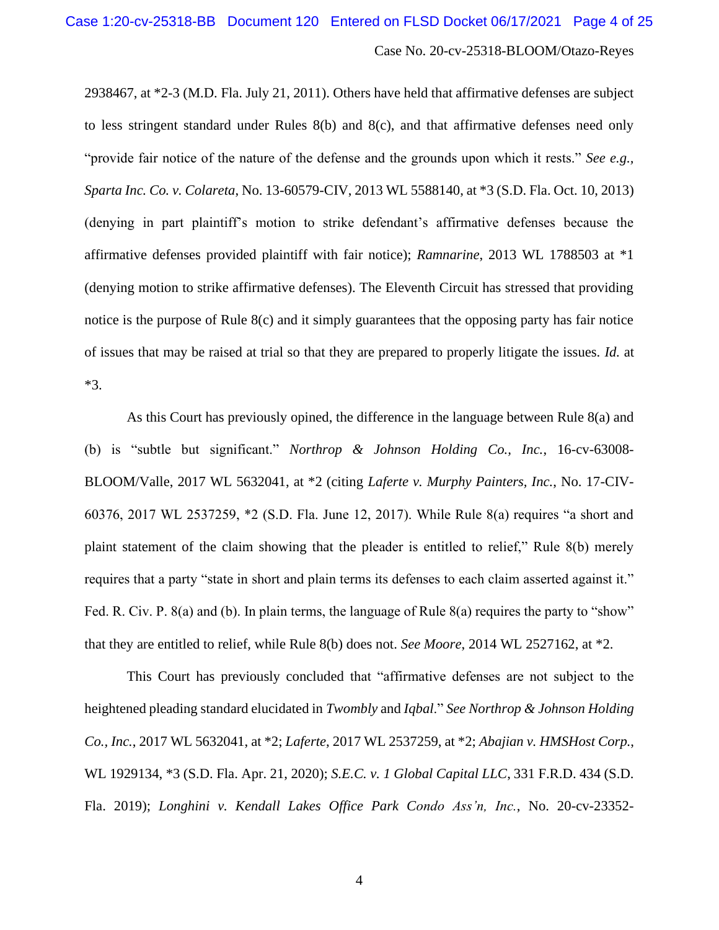2938467, at \*2-3 (M.D. Fla. July 21, 2011). Others have held that affirmative defenses are subject to less stringent standard under Rules 8(b) and 8(c), and that affirmative defenses need only "provide fair notice of the nature of the defense and the grounds upon which it rests." *See e.g., Sparta Inc. Co. v. Colareta*, No. 13-60579-CIV, 2013 WL 5588140, at \*3 (S.D. Fla. Oct. 10, 2013) (denying in part plaintiff's motion to strike defendant's affirmative defenses because the affirmative defenses provided plaintiff with fair notice); *Ramnarine*, 2013 WL 1788503 at \*1 (denying motion to strike affirmative defenses). The Eleventh Circuit has stressed that providing notice is the purpose of Rule 8(c) and it simply guarantees that the opposing party has fair notice of issues that may be raised at trial so that they are prepared to properly litigate the issues. *Id.* at \*3.

As this Court has previously opined, the difference in the language between Rule 8(a) and (b) is "subtle but significant." *Northrop & Johnson Holding Co., Inc.*, 16-cv-63008- BLOOM/Valle, 2017 WL 5632041, at \*2 (citing *Laferte v. Murphy Painters, Inc.*, No. 17-CIV-60376, 2017 WL 2537259, \*2 (S.D. Fla. June 12, 2017). While Rule 8(a) requires "a short and plaint statement of the claim showing that the pleader is entitled to relief," Rule 8(b) merely requires that a party "state in short and plain terms its defenses to each claim asserted against it." Fed. R. Civ. P. 8(a) and (b). In plain terms, the language of Rule 8(a) requires the party to "show" that they are entitled to relief, while Rule 8(b) does not. *See Moore*, 2014 WL 2527162, at \*2.

This Court has previously concluded that "affirmative defenses are not subject to the heightened pleading standard elucidated in *Twombly* and *Iqbal*." *See Northrop & Johnson Holding Co., Inc.*, 2017 WL 5632041, at \*2; *Laferte*, 2017 WL 2537259, at \*2; *Abajian v. HMSHost Corp.*, WL 1929134, \*3 (S.D. Fla. Apr. 21, 2020); *S.E.C. v. 1 Global Capital LLC*, 331 F.R.D. 434 (S.D. Fla. 2019); *Longhini v. Kendall Lakes Office Park Condo Ass'n, Inc.*, No. 20-cv-23352-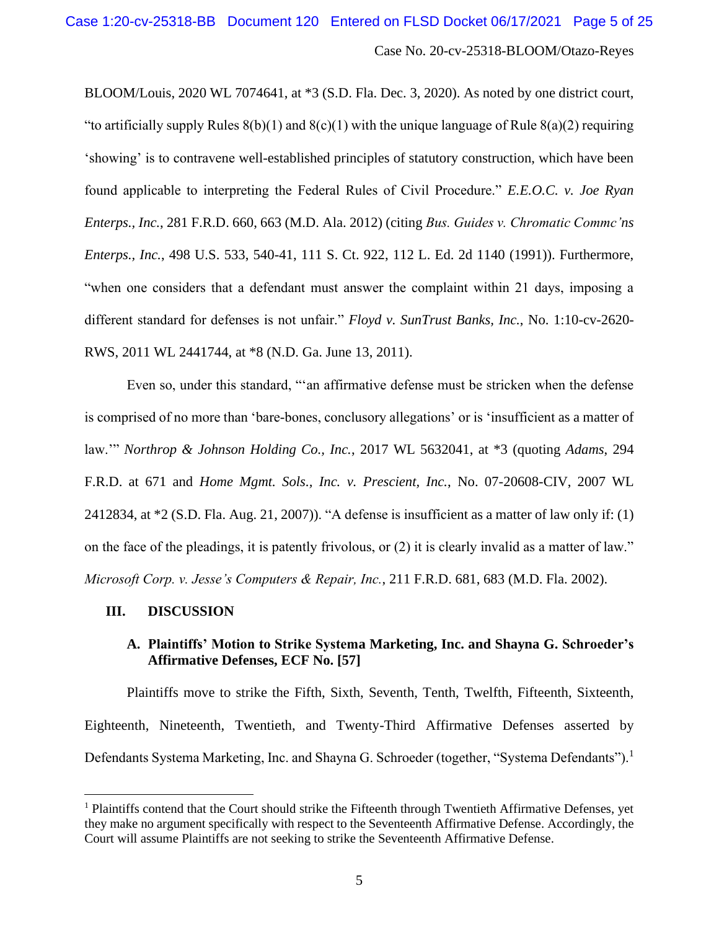BLOOM/Louis, 2020 WL 7074641, at \*3 (S.D. Fla. Dec. 3, 2020). As noted by one district court, "to artificially supply Rules  $8(b)(1)$  and  $8(c)(1)$  with the unique language of Rule  $8(a)(2)$  requiring 'showing' is to contravene well-established principles of statutory construction, which have been found applicable to interpreting the Federal Rules of Civil Procedure." *E.E.O.C. v. Joe Ryan Enterps., Inc.*, 281 F.R.D. 660, 663 (M.D. Ala. 2012) (citing *Bus. Guides v. Chromatic Commc'ns Enterps., Inc.*, 498 U.S. 533, 540-41, 111 S. Ct. 922, 112 L. Ed. 2d 1140 (1991)). Furthermore, "when one considers that a defendant must answer the complaint within 21 days, imposing a different standard for defenses is not unfair." *Floyd v. SunTrust Banks, Inc.*, No. 1:10-cv-2620- RWS, 2011 WL 2441744, at \*8 (N.D. Ga. June 13, 2011).

Even so, under this standard, "'an affirmative defense must be stricken when the defense is comprised of no more than 'bare-bones, conclusory allegations' or is 'insufficient as a matter of law.'" *Northrop & Johnson Holding Co., Inc.*, 2017 WL 5632041, at \*3 (quoting *Adams*, 294 F.R.D. at 671 and *Home Mgmt. Sols., Inc. v. Prescient, Inc.*, No. 07-20608-CIV, 2007 WL 2412834, at \*2 (S.D. Fla. Aug. 21, 2007)). "A defense is insufficient as a matter of law only if: (1) on the face of the pleadings, it is patently frivolous, or (2) it is clearly invalid as a matter of law." *Microsoft Corp. v. Jesse's Computers & Repair, Inc.*, 211 F.R.D. 681, 683 (M.D. Fla. 2002).

### **III. DISCUSSION**

# **A. Plaintiffs' Motion to Strike Systema Marketing, Inc. and Shayna G. Schroeder's Affirmative Defenses, ECF No. [57]**

Plaintiffs move to strike the Fifth, Sixth, Seventh, Tenth, Twelfth, Fifteenth, Sixteenth, Eighteenth, Nineteenth, Twentieth, and Twenty-Third Affirmative Defenses asserted by Defendants Systema Marketing, Inc. and Shayna G. Schroeder (together, "Systema Defendants").<sup>1</sup>

 $<sup>1</sup>$  Plaintiffs contend that the Court should strike the Fifteenth through Twentieth Affirmative Defenses, yet</sup> they make no argument specifically with respect to the Seventeenth Affirmative Defense. Accordingly, the Court will assume Plaintiffs are not seeking to strike the Seventeenth Affirmative Defense.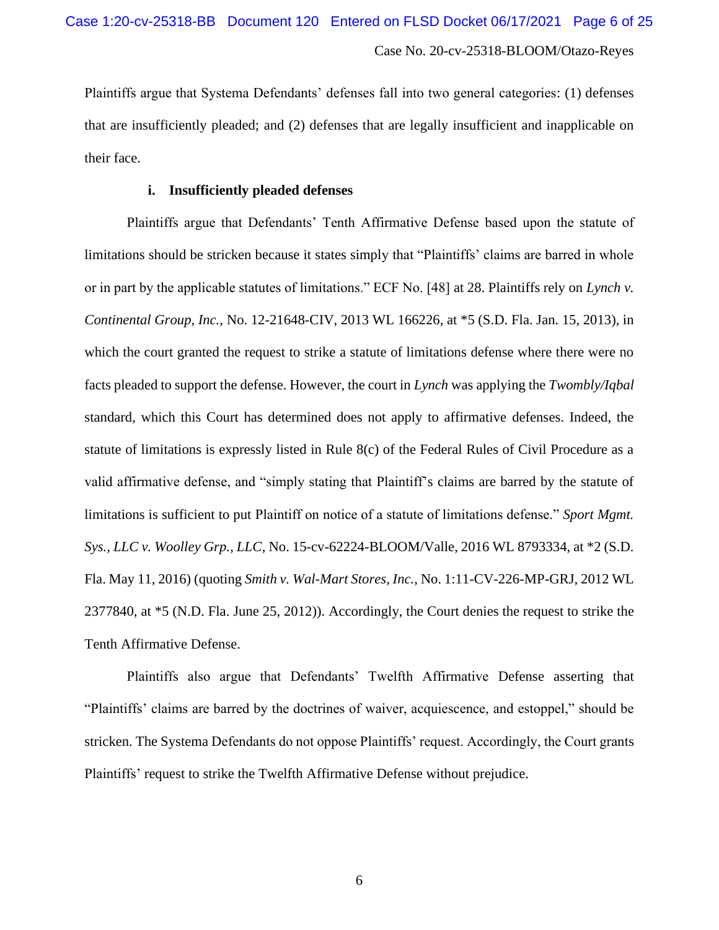Plaintiffs argue that Systema Defendants' defenses fall into two general categories: (1) defenses that are insufficiently pleaded; and (2) defenses that are legally insufficient and inapplicable on their face.

### **i. Insufficiently pleaded defenses**

Plaintiffs argue that Defendants' Tenth Affirmative Defense based upon the statute of limitations should be stricken because it states simply that "Plaintiffs' claims are barred in whole or in part by the applicable statutes of limitations." ECF No. [48] at 28. Plaintiffs rely on *Lynch v. Continental Group, Inc.*, No. 12-21648-CIV, 2013 WL 166226, at \*5 (S.D. Fla. Jan. 15, 2013), in which the court granted the request to strike a statute of limitations defense where there were no facts pleaded to support the defense. However, the court in *Lynch* was applying the *Twombly/Iqbal* standard, which this Court has determined does not apply to affirmative defenses. Indeed, the statute of limitations is expressly listed in Rule 8(c) of the Federal Rules of Civil Procedure as a valid affirmative defense, and "simply stating that Plaintiff's claims are barred by the statute of limitations is sufficient to put Plaintiff on notice of a statute of limitations defense." *Sport Mgmt. Sys., LLC v. Woolley Grp., LLC*, No. 15-cv-62224-BLOOM/Valle, 2016 WL 8793334, at \*2 (S.D. Fla. May 11, 2016) (quoting *Smith v. Wal-Mart Stores, Inc.*, No. 1:11-CV-226-MP-GRJ, 2012 WL 2377840, at \*5 (N.D. Fla. June 25, 2012)). Accordingly, the Court denies the request to strike the Tenth Affirmative Defense.

Plaintiffs also argue that Defendants' Twelfth Affirmative Defense asserting that "Plaintiffs' claims are barred by the doctrines of waiver, acquiescence, and estoppel," should be stricken. The Systema Defendants do not oppose Plaintiffs' request. Accordingly, the Court grants Plaintiffs' request to strike the Twelfth Affirmative Defense without prejudice.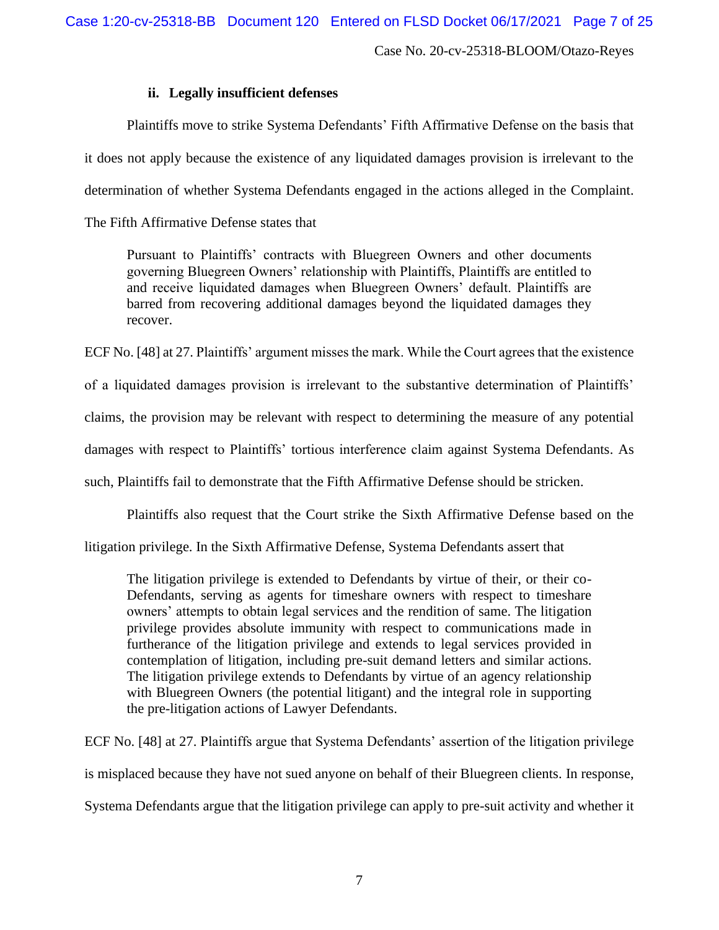### **ii. Legally insufficient defenses**

Plaintiffs move to strike Systema Defendants' Fifth Affirmative Defense on the basis that it does not apply because the existence of any liquidated damages provision is irrelevant to the determination of whether Systema Defendants engaged in the actions alleged in the Complaint.

The Fifth Affirmative Defense states that

Pursuant to Plaintiffs' contracts with Bluegreen Owners and other documents governing Bluegreen Owners' relationship with Plaintiffs, Plaintiffs are entitled to and receive liquidated damages when Bluegreen Owners' default. Plaintiffs are barred from recovering additional damages beyond the liquidated damages they recover.

ECF No. [48] at 27. Plaintiffs' argument misses the mark. While the Court agrees that the existence

of a liquidated damages provision is irrelevant to the substantive determination of Plaintiffs'

claims, the provision may be relevant with respect to determining the measure of any potential

damages with respect to Plaintiffs' tortious interference claim against Systema Defendants. As

such, Plaintiffs fail to demonstrate that the Fifth Affirmative Defense should be stricken.

Plaintiffs also request that the Court strike the Sixth Affirmative Defense based on the

litigation privilege. In the Sixth Affirmative Defense, Systema Defendants assert that

The litigation privilege is extended to Defendants by virtue of their, or their co-Defendants, serving as agents for timeshare owners with respect to timeshare owners' attempts to obtain legal services and the rendition of same. The litigation privilege provides absolute immunity with respect to communications made in furtherance of the litigation privilege and extends to legal services provided in contemplation of litigation, including pre-suit demand letters and similar actions. The litigation privilege extends to Defendants by virtue of an agency relationship with Bluegreen Owners (the potential litigant) and the integral role in supporting the pre-litigation actions of Lawyer Defendants.

ECF No. [48] at 27. Plaintiffs argue that Systema Defendants' assertion of the litigation privilege is misplaced because they have not sued anyone on behalf of their Bluegreen clients. In response, Systema Defendants argue that the litigation privilege can apply to pre-suit activity and whether it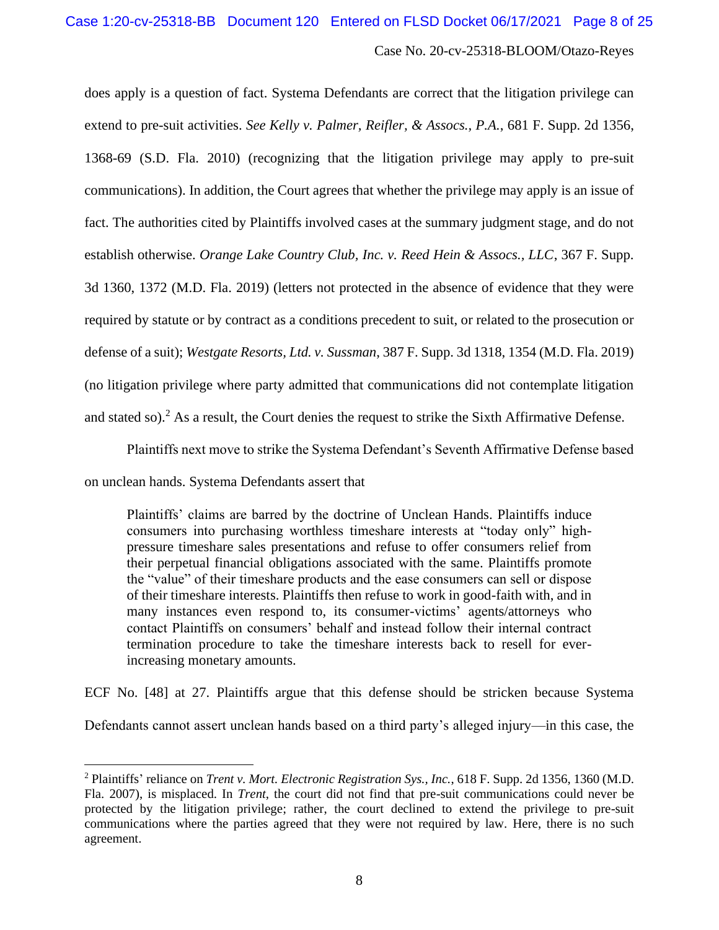does apply is a question of fact. Systema Defendants are correct that the litigation privilege can extend to pre-suit activities. *See Kelly v. Palmer, Reifler, & Assocs., P.A.*, 681 F. Supp. 2d 1356, 1368-69 (S.D. Fla. 2010) (recognizing that the litigation privilege may apply to pre-suit communications). In addition, the Court agrees that whether the privilege may apply is an issue of fact. The authorities cited by Plaintiffs involved cases at the summary judgment stage, and do not establish otherwise. *Orange Lake Country Club, Inc. v. Reed Hein & Assocs., LLC*, 367 F. Supp. 3d 1360, 1372 (M.D. Fla. 2019) (letters not protected in the absence of evidence that they were required by statute or by contract as a conditions precedent to suit, or related to the prosecution or defense of a suit); *Westgate Resorts, Ltd. v. Sussman*, 387 F. Supp. 3d 1318, 1354 (M.D. Fla. 2019) (no litigation privilege where party admitted that communications did not contemplate litigation and stated so).<sup>2</sup> As a result, the Court denies the request to strike the Sixth Affirmative Defense.

Plaintiffs next move to strike the Systema Defendant's Seventh Affirmative Defense based

on unclean hands. Systema Defendants assert that

Plaintiffs' claims are barred by the doctrine of Unclean Hands. Plaintiffs induce consumers into purchasing worthless timeshare interests at "today only" highpressure timeshare sales presentations and refuse to offer consumers relief from their perpetual financial obligations associated with the same. Plaintiffs promote the "value" of their timeshare products and the ease consumers can sell or dispose of their timeshare interests. Plaintiffs then refuse to work in good-faith with, and in many instances even respond to, its consumer-victims' agents/attorneys who contact Plaintiffs on consumers' behalf and instead follow their internal contract termination procedure to take the timeshare interests back to resell for everincreasing monetary amounts.

ECF No. [48] at 27. Plaintiffs argue that this defense should be stricken because Systema

Defendants cannot assert unclean hands based on a third party's alleged injury—in this case, the

<sup>2</sup> Plaintiffs' reliance on *Trent v. Mort. Electronic Registration Sys., Inc.*, 618 F. Supp. 2d 1356, 1360 (M.D. Fla. 2007), is misplaced. In *Trent*, the court did not find that pre-suit communications could never be protected by the litigation privilege; rather, the court declined to extend the privilege to pre-suit communications where the parties agreed that they were not required by law. Here, there is no such agreement.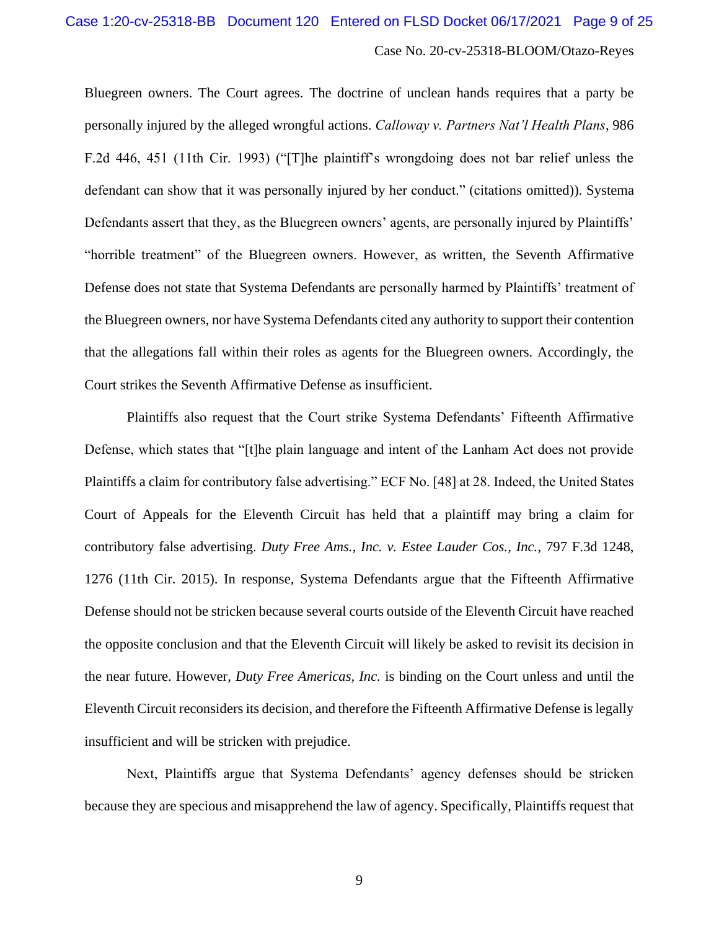Bluegreen owners. The Court agrees. The doctrine of unclean hands requires that a party be personally injured by the alleged wrongful actions. *Calloway v. Partners Nat'l Health Plans*, 986 F.2d 446, 451 (11th Cir. 1993) ("[T]he plaintiff's wrongdoing does not bar relief unless the defendant can show that it was personally injured by her conduct." (citations omitted)). Systema Defendants assert that they, as the Bluegreen owners' agents, are personally injured by Plaintiffs' "horrible treatment" of the Bluegreen owners. However, as written, the Seventh Affirmative Defense does not state that Systema Defendants are personally harmed by Plaintiffs' treatment of the Bluegreen owners, nor have Systema Defendants cited any authority to support their contention that the allegations fall within their roles as agents for the Bluegreen owners. Accordingly, the Court strikes the Seventh Affirmative Defense as insufficient.

Plaintiffs also request that the Court strike Systema Defendants' Fifteenth Affirmative Defense, which states that "[t]he plain language and intent of the Lanham Act does not provide Plaintiffs a claim for contributory false advertising." ECF No. [48] at 28. Indeed, the United States Court of Appeals for the Eleventh Circuit has held that a plaintiff may bring a claim for contributory false advertising. *Duty Free Ams., Inc. v. Estee Lauder Cos., Inc.*, 797 F.3d 1248, 1276 (11th Cir. 2015). In response, Systema Defendants argue that the Fifteenth Affirmative Defense should not be stricken because several courts outside of the Eleventh Circuit have reached the opposite conclusion and that the Eleventh Circuit will likely be asked to revisit its decision in the near future. However, *Duty Free Americas, Inc.* is binding on the Court unless and until the Eleventh Circuit reconsiders its decision, and therefore the Fifteenth Affirmative Defense is legally insufficient and will be stricken with prejudice.

Next, Plaintiffs argue that Systema Defendants' agency defenses should be stricken because they are specious and misapprehend the law of agency. Specifically, Plaintiffs request that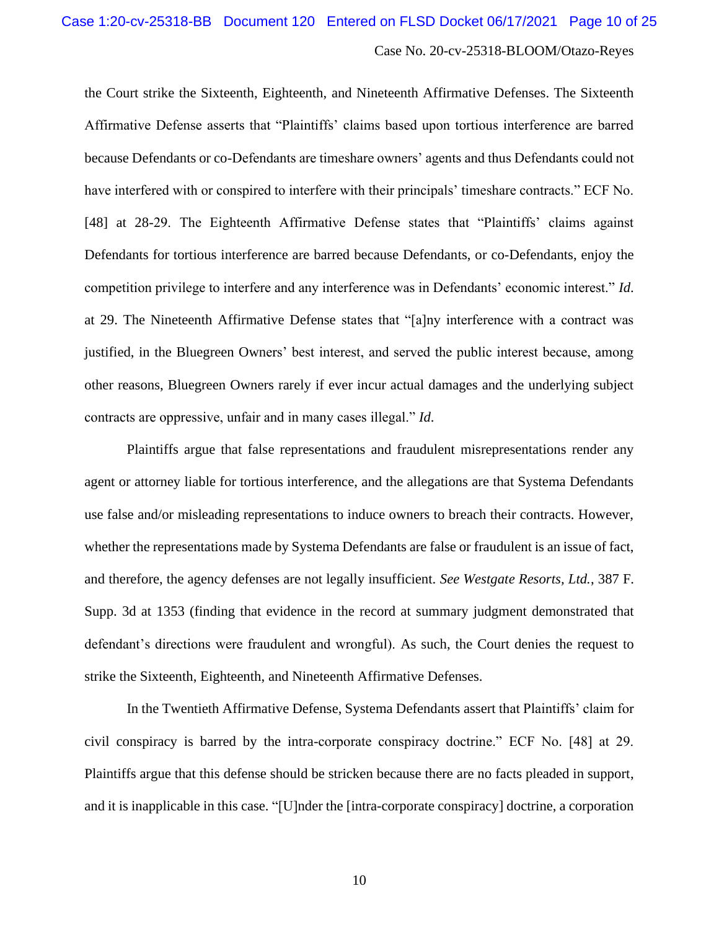the Court strike the Sixteenth, Eighteenth, and Nineteenth Affirmative Defenses. The Sixteenth Affirmative Defense asserts that "Plaintiffs' claims based upon tortious interference are barred because Defendants or co-Defendants are timeshare owners' agents and thus Defendants could not have interfered with or conspired to interfere with their principals' timeshare contracts." ECF No. [48] at 28-29. The Eighteenth Affirmative Defense states that "Plaintiffs' claims against Defendants for tortious interference are barred because Defendants, or co-Defendants, enjoy the competition privilege to interfere and any interference was in Defendants' economic interest." *Id*. at 29. The Nineteenth Affirmative Defense states that "[a]ny interference with a contract was justified, in the Bluegreen Owners' best interest, and served the public interest because, among other reasons, Bluegreen Owners rarely if ever incur actual damages and the underlying subject contracts are oppressive, unfair and in many cases illegal." *Id*.

Plaintiffs argue that false representations and fraudulent misrepresentations render any agent or attorney liable for tortious interference, and the allegations are that Systema Defendants use false and/or misleading representations to induce owners to breach their contracts. However, whether the representations made by Systema Defendants are false or fraudulent is an issue of fact, and therefore, the agency defenses are not legally insufficient. *See Westgate Resorts, Ltd.*, 387 F. Supp. 3d at 1353 (finding that evidence in the record at summary judgment demonstrated that defendant's directions were fraudulent and wrongful). As such, the Court denies the request to strike the Sixteenth, Eighteenth, and Nineteenth Affirmative Defenses.

In the Twentieth Affirmative Defense, Systema Defendants assert that Plaintiffs' claim for civil conspiracy is barred by the intra-corporate conspiracy doctrine." ECF No. [48] at 29. Plaintiffs argue that this defense should be stricken because there are no facts pleaded in support, and it is inapplicable in this case. "[U]nder the [intra-corporate conspiracy] doctrine, a corporation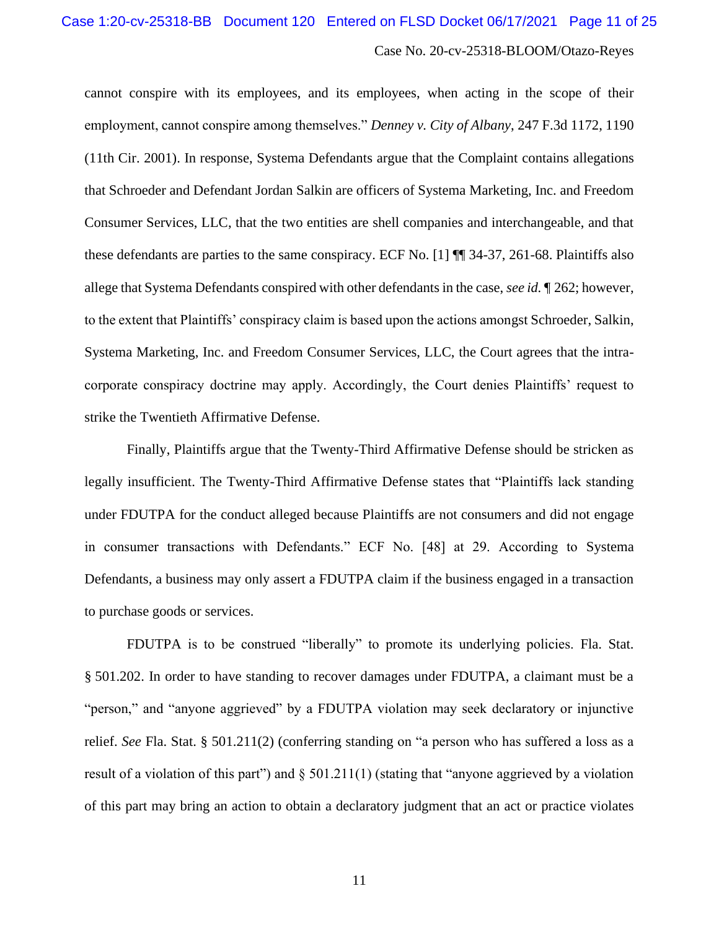cannot conspire with its employees, and its employees, when acting in the scope of their employment, cannot conspire among themselves." *Denney v. City of Albany*, 247 F.3d 1172, 1190 (11th Cir. 2001). In response, Systema Defendants argue that the Complaint contains allegations that Schroeder and Defendant Jordan Salkin are officers of Systema Marketing, Inc. and Freedom Consumer Services, LLC, that the two entities are shell companies and interchangeable, and that these defendants are parties to the same conspiracy. ECF No. [1] ¶¶ 34-37, 261-68. Plaintiffs also allege that Systema Defendants conspired with other defendants in the case, *see id.* ¶ 262; however, to the extent that Plaintiffs' conspiracy claim is based upon the actions amongst Schroeder, Salkin, Systema Marketing, Inc. and Freedom Consumer Services, LLC, the Court agrees that the intracorporate conspiracy doctrine may apply. Accordingly, the Court denies Plaintiffs' request to strike the Twentieth Affirmative Defense.

Finally, Plaintiffs argue that the Twenty-Third Affirmative Defense should be stricken as legally insufficient. The Twenty-Third Affirmative Defense states that "Plaintiffs lack standing under FDUTPA for the conduct alleged because Plaintiffs are not consumers and did not engage in consumer transactions with Defendants." ECF No. [48] at 29. According to Systema Defendants, a business may only assert a FDUTPA claim if the business engaged in a transaction to purchase goods or services.

FDUTPA is to be construed "liberally" to promote its underlying policies. Fla. Stat. § 501.202. In order to have standing to recover damages under FDUTPA, a claimant must be a "person," and "anyone aggrieved" by a FDUTPA violation may seek declaratory or injunctive relief. *See* Fla. Stat. § 501.211(2) (conferring standing on "a person who has suffered a loss as a result of a violation of this part") and § 501.211(1) (stating that "anyone aggrieved by a violation of this part may bring an action to obtain a declaratory judgment that an act or practice violates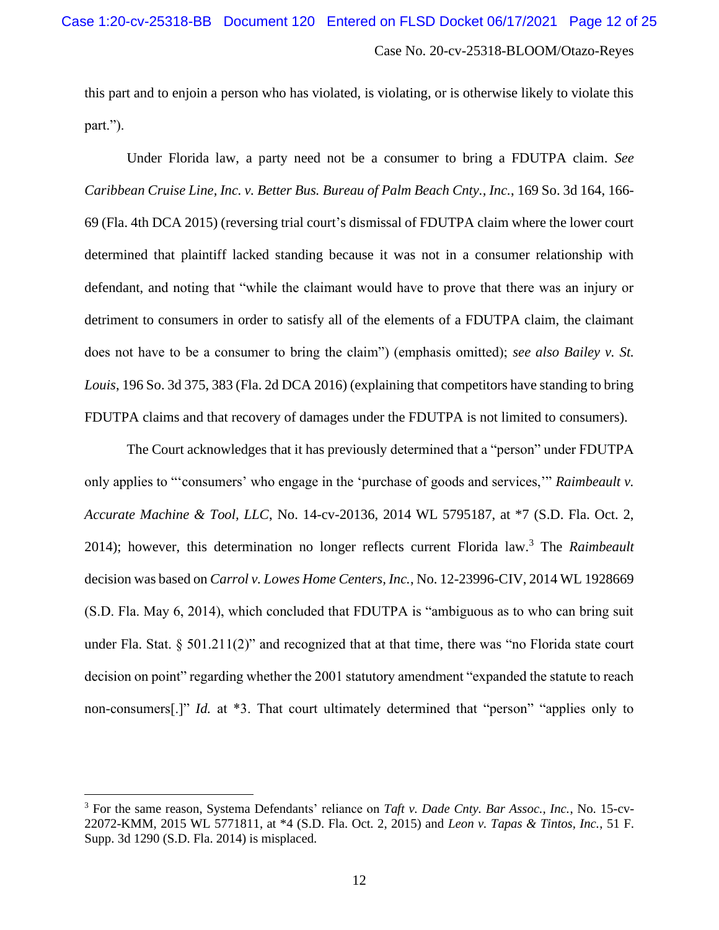this part and to enjoin a person who has violated, is violating, or is otherwise likely to violate this part.").

Under Florida law, a party need not be a consumer to bring a FDUTPA claim. *See Caribbean Cruise Line, Inc. v. Better Bus. Bureau of Palm Beach Cnty., Inc.*, 169 So. 3d 164, 166- 69 (Fla. 4th DCA 2015) (reversing trial court's dismissal of FDUTPA claim where the lower court determined that plaintiff lacked standing because it was not in a consumer relationship with defendant, and noting that "while the claimant would have to prove that there was an injury or detriment to consumers in order to satisfy all of the elements of a FDUTPA claim, the claimant does not have to be a consumer to bring the claim") (emphasis omitted); *see also Bailey v. St. Louis*, 196 So. 3d 375, 383 (Fla. 2d DCA 2016) (explaining that competitors have standing to bring FDUTPA claims and that recovery of damages under the FDUTPA is not limited to consumers).

The Court acknowledges that it has previously determined that a "person" under FDUTPA only applies to "'consumers' who engage in the 'purchase of goods and services,'" *Raimbeault v. Accurate Machine & Tool, LLC*, No. 14-cv-20136, 2014 WL 5795187, at \*7 (S.D. Fla. Oct. 2, 2014); however, this determination no longer reflects current Florida law.<sup>3</sup> The *Raimbeault* decision was based on *Carrol v. Lowes Home Centers, Inc.*, No. 12-23996-CIV, 2014 WL 1928669 (S.D. Fla. May 6, 2014), which concluded that FDUTPA is "ambiguous as to who can bring suit under Fla. Stat.  $\S 501.211(2)$ " and recognized that at that time, there was "no Florida state court decision on point" regarding whether the 2001 statutory amendment "expanded the statute to reach non-consumers<sup>[*.*]" *Id.* at \*3. That court ultimately determined that "person" "applies only to</sup>

<sup>3</sup> For the same reason, Systema Defendants' reliance on *Taft v. Dade Cnty. Bar Assoc., Inc.*, No. 15-cv-22072-KMM, 2015 WL 5771811, at \*4 (S.D. Fla. Oct. 2, 2015) and *Leon v. Tapas & Tintos, Inc.*, 51 F. Supp. 3d 1290 (S.D. Fla. 2014) is misplaced.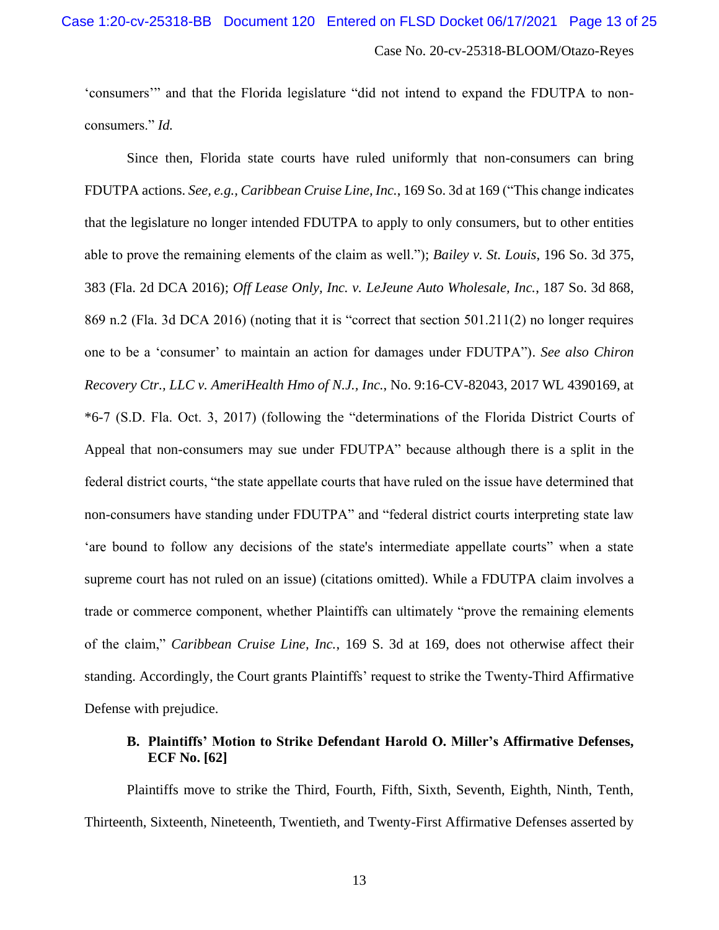'consumers'" and that the Florida legislature "did not intend to expand the FDUTPA to nonconsumers." *Id.*

Since then, Florida state courts have ruled uniformly that non-consumers can bring FDUTPA actions. *See, e.g., Caribbean Cruise Line, Inc.*, 169 So. 3d at 169 ("This change indicates that the legislature no longer intended FDUTPA to apply to only consumers, but to other entities able to prove the remaining elements of the claim as well."); *Bailey v. St. Louis*, 196 So. 3d 375, 383 (Fla. 2d DCA 2016); *Off Lease Only, Inc. v. LeJeune Auto Wholesale, Inc.*, 187 So. 3d 868, 869 n.2 (Fla. 3d DCA 2016) (noting that it is "correct that section 501.211(2) no longer requires one to be a 'consumer' to maintain an action for damages under FDUTPA"). *See also Chiron Recovery Ctr., LLC v. AmeriHealth Hmo of N.J., Inc.*, No. 9:16-CV-82043, 2017 WL 4390169, at \*6-7 (S.D. Fla. Oct. 3, 2017) (following the "determinations of the Florida District Courts of Appeal that non-consumers may sue under FDUTPA" because although there is a split in the federal district courts, "the state appellate courts that have ruled on the issue have determined that non-consumers have standing under FDUTPA" and "federal district courts interpreting state law 'are bound to follow any decisions of the state's intermediate appellate courts" when a state supreme court has not ruled on an issue) (citations omitted). While a FDUTPA claim involves a trade or commerce component, whether Plaintiffs can ultimately "prove the remaining elements of the claim," *Caribbean Cruise Line, Inc.*, 169 S. 3d at 169, does not otherwise affect their standing. Accordingly, the Court grants Plaintiffs' request to strike the Twenty-Third Affirmative Defense with prejudice.

# **B. Plaintiffs' Motion to Strike Defendant Harold O. Miller's Affirmative Defenses, ECF No. [62]**

Plaintiffs move to strike the Third, Fourth, Fifth, Sixth, Seventh, Eighth, Ninth, Tenth, Thirteenth, Sixteenth, Nineteenth, Twentieth, and Twenty-First Affirmative Defenses asserted by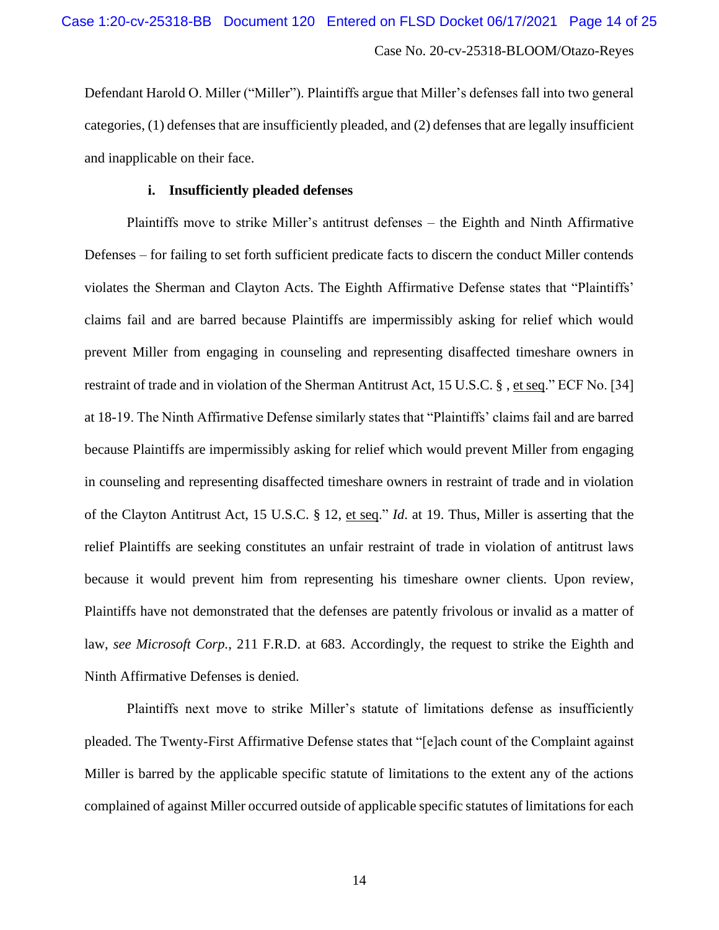Defendant Harold O. Miller ("Miller"). Plaintiffs argue that Miller's defenses fall into two general categories, (1) defenses that are insufficiently pleaded, and (2) defenses that are legally insufficient and inapplicable on their face.

### **i. Insufficiently pleaded defenses**

Plaintiffs move to strike Miller's antitrust defenses – the Eighth and Ninth Affirmative Defenses – for failing to set forth sufficient predicate facts to discern the conduct Miller contends violates the Sherman and Clayton Acts. The Eighth Affirmative Defense states that "Plaintiffs' claims fail and are barred because Plaintiffs are impermissibly asking for relief which would prevent Miller from engaging in counseling and representing disaffected timeshare owners in restraint of trade and in violation of the Sherman Antitrust Act, 15 U.S.C. § , et seq." ECF No. [34] at 18-19. The Ninth Affirmative Defense similarly states that "Plaintiffs' claims fail and are barred because Plaintiffs are impermissibly asking for relief which would prevent Miller from engaging in counseling and representing disaffected timeshare owners in restraint of trade and in violation of the Clayton Antitrust Act, 15 U.S.C. § 12, et seq." *Id*. at 19. Thus, Miller is asserting that the relief Plaintiffs are seeking constitutes an unfair restraint of trade in violation of antitrust laws because it would prevent him from representing his timeshare owner clients. Upon review, Plaintiffs have not demonstrated that the defenses are patently frivolous or invalid as a matter of law, *see Microsoft Corp.*, 211 F.R.D. at 683. Accordingly, the request to strike the Eighth and Ninth Affirmative Defenses is denied.

Plaintiffs next move to strike Miller's statute of limitations defense as insufficiently pleaded. The Twenty-First Affirmative Defense states that "[e]ach count of the Complaint against Miller is barred by the applicable specific statute of limitations to the extent any of the actions complained of against Miller occurred outside of applicable specific statutes of limitations for each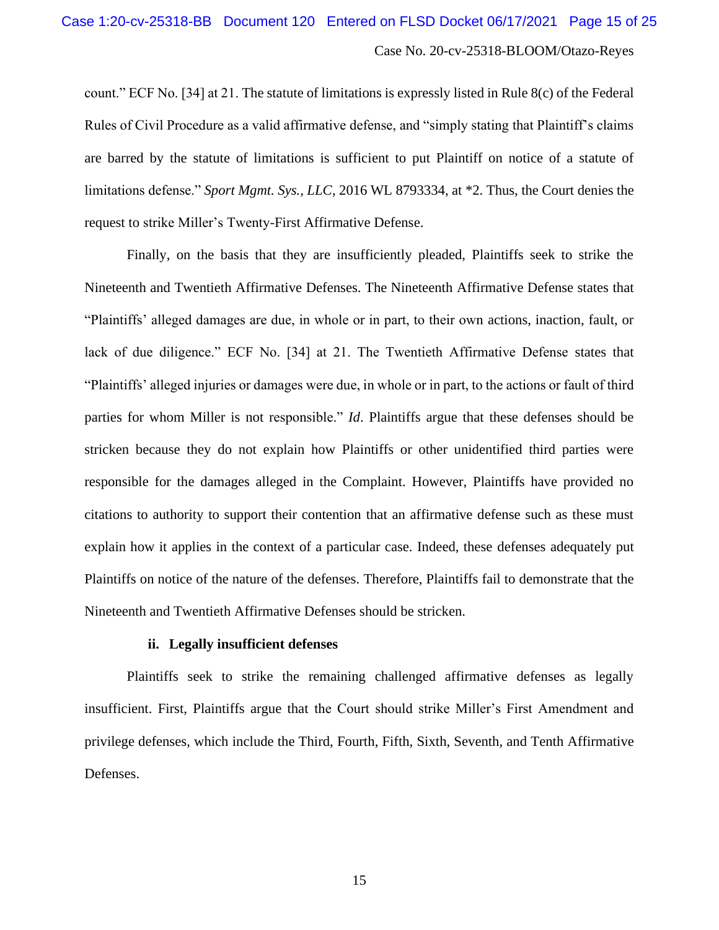count." ECF No. [34] at 21. The statute of limitations is expressly listed in Rule 8(c) of the Federal Rules of Civil Procedure as a valid affirmative defense, and "simply stating that Plaintiff's claims are barred by the statute of limitations is sufficient to put Plaintiff on notice of a statute of limitations defense." *Sport Mgmt. Sys., LLC*, 2016 WL 8793334, at \*2. Thus, the Court denies the request to strike Miller's Twenty-First Affirmative Defense.

Finally, on the basis that they are insufficiently pleaded, Plaintiffs seek to strike the Nineteenth and Twentieth Affirmative Defenses. The Nineteenth Affirmative Defense states that "Plaintiffs' alleged damages are due, in whole or in part, to their own actions, inaction, fault, or lack of due diligence." ECF No. [34] at 21. The Twentieth Affirmative Defense states that "Plaintiffs' alleged injuries or damages were due, in whole or in part, to the actions or fault of third parties for whom Miller is not responsible." *Id*. Plaintiffs argue that these defenses should be stricken because they do not explain how Plaintiffs or other unidentified third parties were responsible for the damages alleged in the Complaint. However, Plaintiffs have provided no citations to authority to support their contention that an affirmative defense such as these must explain how it applies in the context of a particular case. Indeed, these defenses adequately put Plaintiffs on notice of the nature of the defenses. Therefore, Plaintiffs fail to demonstrate that the Nineteenth and Twentieth Affirmative Defenses should be stricken.

### **ii. Legally insufficient defenses**

Plaintiffs seek to strike the remaining challenged affirmative defenses as legally insufficient. First, Plaintiffs argue that the Court should strike Miller's First Amendment and privilege defenses, which include the Third, Fourth, Fifth, Sixth, Seventh, and Tenth Affirmative Defenses.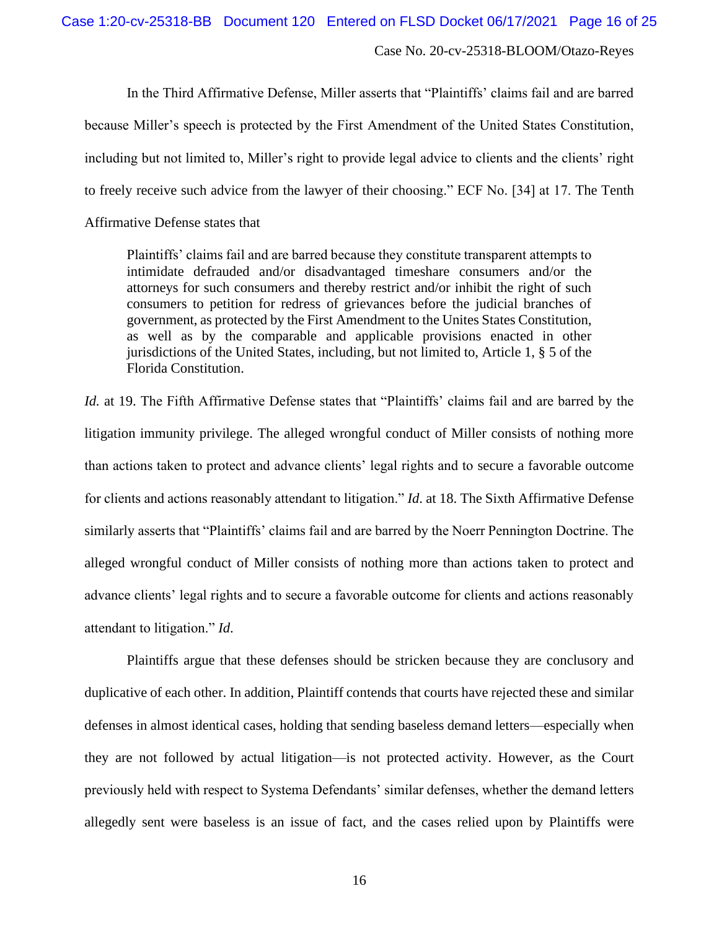Case 1:20-cv-25318-BB Document 120 Entered on FLSD Docket 06/17/2021 Page 16 of 25

Case No. 20-cv-25318-BLOOM/Otazo-Reyes

In the Third Affirmative Defense, Miller asserts that "Plaintiffs' claims fail and are barred because Miller's speech is protected by the First Amendment of the United States Constitution, including but not limited to, Miller's right to provide legal advice to clients and the clients' right to freely receive such advice from the lawyer of their choosing." ECF No. [34] at 17. The Tenth

Affirmative Defense states that

Plaintiffs' claims fail and are barred because they constitute transparent attempts to intimidate defrauded and/or disadvantaged timeshare consumers and/or the attorneys for such consumers and thereby restrict and/or inhibit the right of such consumers to petition for redress of grievances before the judicial branches of government, as protected by the First Amendment to the Unites States Constitution, as well as by the comparable and applicable provisions enacted in other jurisdictions of the United States, including, but not limited to, Article 1, § 5 of the Florida Constitution.

*Id.* at 19. The Fifth Affirmative Defense states that "Plaintiffs' claims fail and are barred by the litigation immunity privilege. The alleged wrongful conduct of Miller consists of nothing more than actions taken to protect and advance clients' legal rights and to secure a favorable outcome for clients and actions reasonably attendant to litigation." *Id*. at 18. The Sixth Affirmative Defense similarly asserts that "Plaintiffs' claims fail and are barred by the Noerr Pennington Doctrine. The alleged wrongful conduct of Miller consists of nothing more than actions taken to protect and advance clients' legal rights and to secure a favorable outcome for clients and actions reasonably attendant to litigation." *Id*.

Plaintiffs argue that these defenses should be stricken because they are conclusory and duplicative of each other. In addition, Plaintiff contends that courts have rejected these and similar defenses in almost identical cases, holding that sending baseless demand letters—especially when they are not followed by actual litigation—is not protected activity. However, as the Court previously held with respect to Systema Defendants' similar defenses, whether the demand letters allegedly sent were baseless is an issue of fact, and the cases relied upon by Plaintiffs were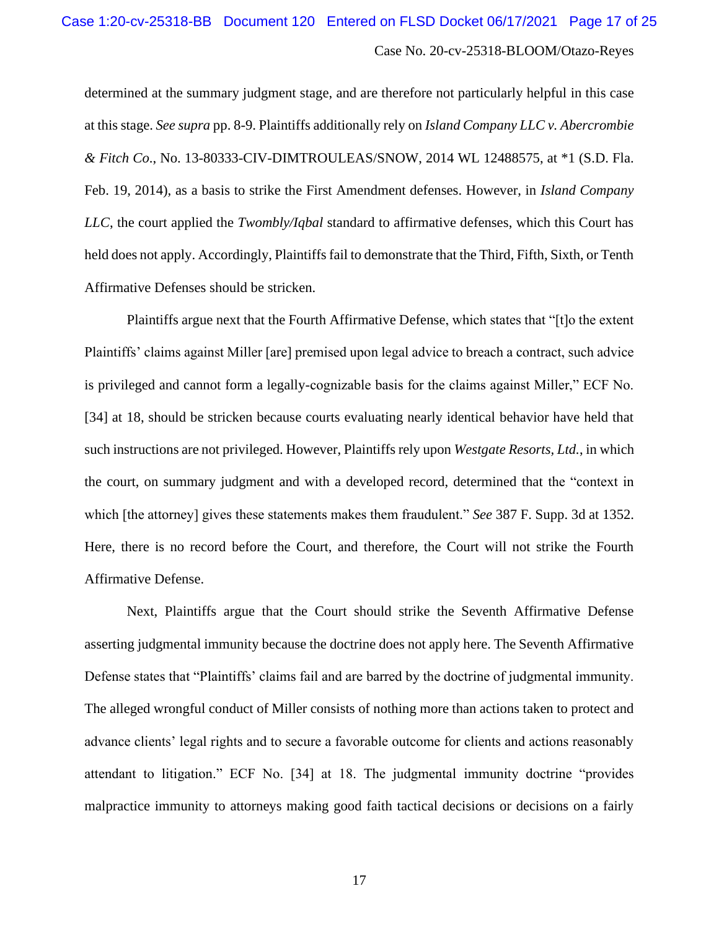determined at the summary judgment stage, and are therefore not particularly helpful in this case at this stage. *See supra* pp. 8-9. Plaintiffs additionally rely on *Island Company LLC v. Abercrombie & Fitch Co*., No. 13-80333-CIV-DIMTROULEAS/SNOW, 2014 WL 12488575, at \*1 (S.D. Fla. Feb. 19, 2014), as a basis to strike the First Amendment defenses. However, in *Island Company LLC*, the court applied the *Twombly/Iqbal* standard to affirmative defenses, which this Court has held does not apply. Accordingly, Plaintiffs fail to demonstrate that the Third, Fifth, Sixth, or Tenth Affirmative Defenses should be stricken.

Plaintiffs argue next that the Fourth Affirmative Defense, which states that "[t]o the extent Plaintiffs' claims against Miller [are] premised upon legal advice to breach a contract, such advice is privileged and cannot form a legally-cognizable basis for the claims against Miller," ECF No. [34] at 18, should be stricken because courts evaluating nearly identical behavior have held that such instructions are not privileged. However, Plaintiffs rely upon *Westgate Resorts, Ltd.*, in which the court, on summary judgment and with a developed record, determined that the "context in which [the attorney] gives these statements makes them fraudulent." *See* 387 F. Supp. 3d at 1352. Here, there is no record before the Court, and therefore, the Court will not strike the Fourth Affirmative Defense.

Next, Plaintiffs argue that the Court should strike the Seventh Affirmative Defense asserting judgmental immunity because the doctrine does not apply here. The Seventh Affirmative Defense states that "Plaintiffs' claims fail and are barred by the doctrine of judgmental immunity. The alleged wrongful conduct of Miller consists of nothing more than actions taken to protect and advance clients' legal rights and to secure a favorable outcome for clients and actions reasonably attendant to litigation." ECF No. [34] at 18. The judgmental immunity doctrine "provides malpractice immunity to attorneys making good faith tactical decisions or decisions on a fairly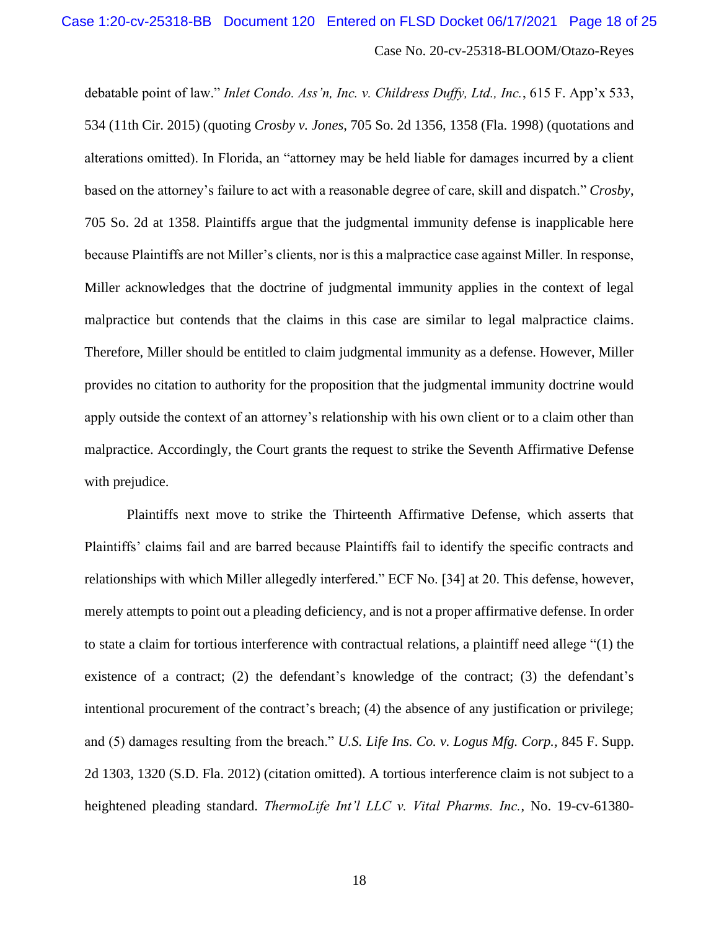debatable point of law." *Inlet Condo. Ass'n, Inc. v. Childress Duffy, Ltd., Inc.*, 615 F. App'x 533, 534 (11th Cir. 2015) (quoting *Crosby v. Jones*, 705 So. 2d 1356, 1358 (Fla. 1998) (quotations and alterations omitted). In Florida, an "attorney may be held liable for damages incurred by a client based on the attorney's failure to act with a reasonable degree of care, skill and dispatch." *Crosby*, 705 So. 2d at 1358. Plaintiffs argue that the judgmental immunity defense is inapplicable here because Plaintiffs are not Miller's clients, nor is this a malpractice case against Miller. In response, Miller acknowledges that the doctrine of judgmental immunity applies in the context of legal malpractice but contends that the claims in this case are similar to legal malpractice claims. Therefore, Miller should be entitled to claim judgmental immunity as a defense. However, Miller provides no citation to authority for the proposition that the judgmental immunity doctrine would apply outside the context of an attorney's relationship with his own client or to a claim other than malpractice. Accordingly, the Court grants the request to strike the Seventh Affirmative Defense with prejudice.

Plaintiffs next move to strike the Thirteenth Affirmative Defense, which asserts that Plaintiffs' claims fail and are barred because Plaintiffs fail to identify the specific contracts and relationships with which Miller allegedly interfered." ECF No. [34] at 20. This defense, however, merely attempts to point out a pleading deficiency, and is not a proper affirmative defense. In order to state a claim for tortious interference with contractual relations, a plaintiff need allege "(1) the existence of a contract; (2) the defendant's knowledge of the contract; (3) the defendant's intentional procurement of the contract's breach; (4) the absence of any justification or privilege; and (5) damages resulting from the breach." *U.S. Life Ins. Co. v. Logus Mfg. Corp.,* 845 F. Supp. 2d 1303, 1320 (S.D. Fla. 2012) (citation omitted). A tortious interference claim is not subject to a heightened pleading standard. *ThermoLife Int'l LLC v. Vital Pharms. Inc.*, No. 19-cv-61380-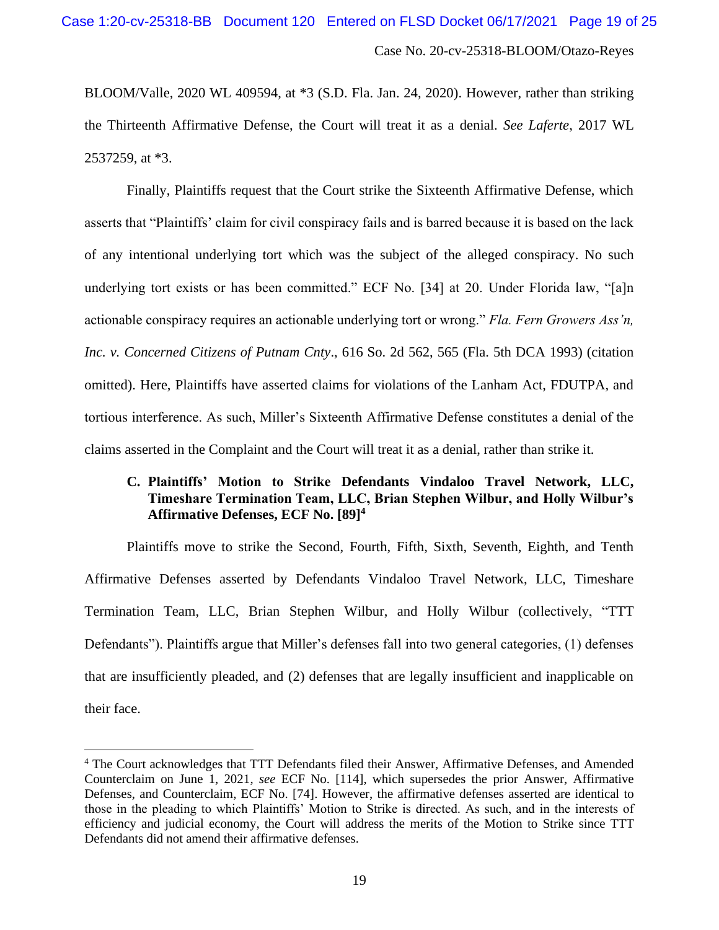BLOOM/Valle, 2020 WL 409594, at \*3 (S.D. Fla. Jan. 24, 2020). However, rather than striking the Thirteenth Affirmative Defense, the Court will treat it as a denial. *See Laferte*, 2017 WL 2537259, at \*3.

Finally, Plaintiffs request that the Court strike the Sixteenth Affirmative Defense, which asserts that "Plaintiffs' claim for civil conspiracy fails and is barred because it is based on the lack of any intentional underlying tort which was the subject of the alleged conspiracy. No such underlying tort exists or has been committed." ECF No. [34] at 20. Under Florida law, "[a]n actionable conspiracy requires an actionable underlying tort or wrong." *Fla. Fern Growers Ass'n, Inc. v. Concerned Citizens of Putnam Cnty*., 616 So. 2d 562, 565 (Fla. 5th DCA 1993) (citation omitted). Here, Plaintiffs have asserted claims for violations of the Lanham Act, FDUTPA, and tortious interference. As such, Miller's Sixteenth Affirmative Defense constitutes a denial of the claims asserted in the Complaint and the Court will treat it as a denial, rather than strike it.

# **C. Plaintiffs' Motion to Strike Defendants Vindaloo Travel Network, LLC, Timeshare Termination Team, LLC, Brian Stephen Wilbur, and Holly Wilbur's Affirmative Defenses, ECF No. [89]<sup>4</sup>**

Plaintiffs move to strike the Second, Fourth, Fifth, Sixth, Seventh, Eighth, and Tenth Affirmative Defenses asserted by Defendants Vindaloo Travel Network, LLC, Timeshare Termination Team, LLC, Brian Stephen Wilbur, and Holly Wilbur (collectively, "TTT Defendants"). Plaintiffs argue that Miller's defenses fall into two general categories, (1) defenses that are insufficiently pleaded, and (2) defenses that are legally insufficient and inapplicable on their face.

<sup>4</sup> The Court acknowledges that TTT Defendants filed their Answer, Affirmative Defenses, and Amended Counterclaim on June 1, 2021, *see* ECF No. [114], which supersedes the prior Answer, Affirmative Defenses, and Counterclaim, ECF No. [74]. However, the affirmative defenses asserted are identical to those in the pleading to which Plaintiffs' Motion to Strike is directed. As such, and in the interests of efficiency and judicial economy, the Court will address the merits of the Motion to Strike since TTT Defendants did not amend their affirmative defenses.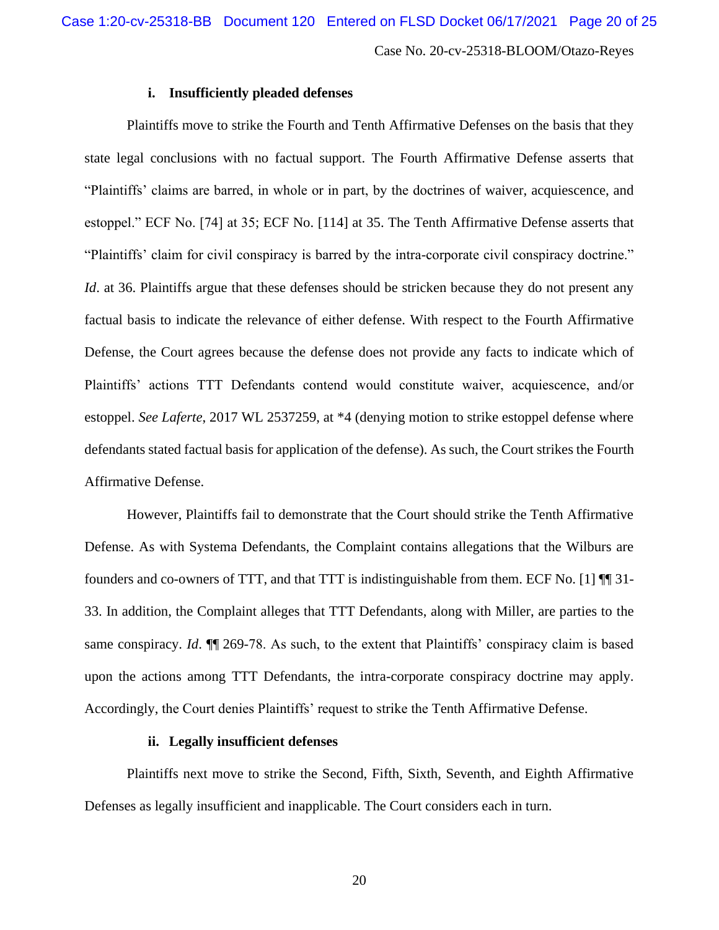#### **i. Insufficiently pleaded defenses**

Plaintiffs move to strike the Fourth and Tenth Affirmative Defenses on the basis that they state legal conclusions with no factual support. The Fourth Affirmative Defense asserts that "Plaintiffs' claims are barred, in whole or in part, by the doctrines of waiver, acquiescence, and estoppel." ECF No. [74] at 35; ECF No. [114] at 35. The Tenth Affirmative Defense asserts that "Plaintiffs' claim for civil conspiracy is barred by the intra-corporate civil conspiracy doctrine." *Id.* at 36. Plaintiffs argue that these defenses should be stricken because they do not present any factual basis to indicate the relevance of either defense. With respect to the Fourth Affirmative Defense, the Court agrees because the defense does not provide any facts to indicate which of Plaintiffs' actions TTT Defendants contend would constitute waiver, acquiescence, and/or estoppel. *See Laferte*, 2017 WL 2537259, at \*4 (denying motion to strike estoppel defense where defendants stated factual basis for application of the defense). As such, the Court strikes the Fourth Affirmative Defense.

However, Plaintiffs fail to demonstrate that the Court should strike the Tenth Affirmative Defense. As with Systema Defendants, the Complaint contains allegations that the Wilburs are founders and co-owners of TTT, and that TTT is indistinguishable from them. ECF No. [1] ¶¶ 31- 33. In addition, the Complaint alleges that TTT Defendants, along with Miller, are parties to the same conspiracy. *Id*. ¶¶ 269-78. As such, to the extent that Plaintiffs' conspiracy claim is based upon the actions among TTT Defendants, the intra-corporate conspiracy doctrine may apply. Accordingly, the Court denies Plaintiffs' request to strike the Tenth Affirmative Defense.

#### **ii. Legally insufficient defenses**

Plaintiffs next move to strike the Second, Fifth, Sixth, Seventh, and Eighth Affirmative Defenses as legally insufficient and inapplicable. The Court considers each in turn.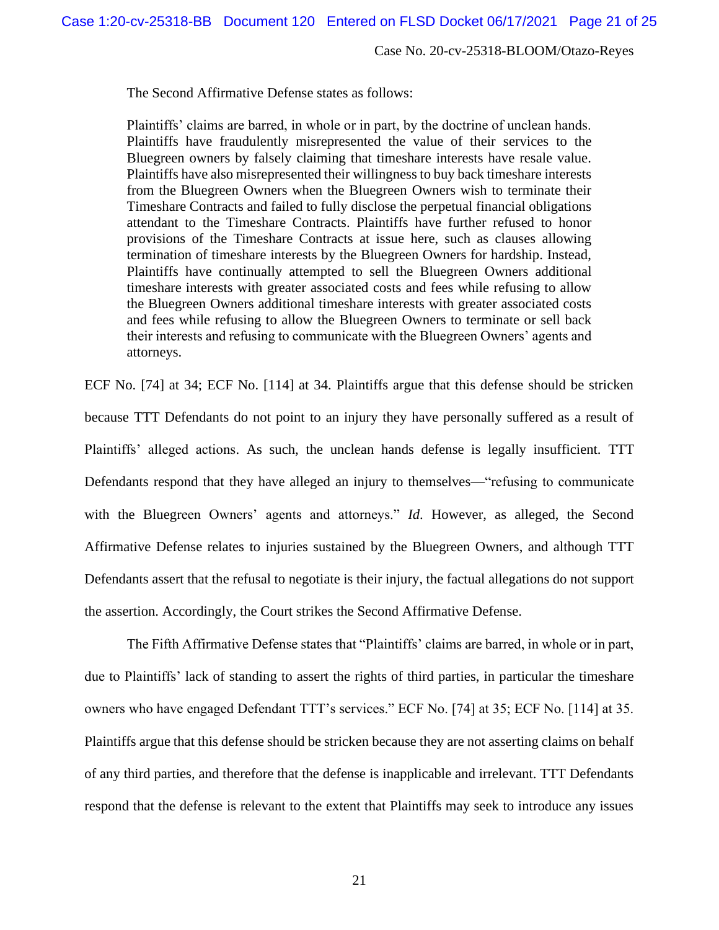The Second Affirmative Defense states as follows:

Plaintiffs' claims are barred, in whole or in part, by the doctrine of unclean hands. Plaintiffs have fraudulently misrepresented the value of their services to the Bluegreen owners by falsely claiming that timeshare interests have resale value. Plaintiffs have also misrepresented their willingness to buy back timeshare interests from the Bluegreen Owners when the Bluegreen Owners wish to terminate their Timeshare Contracts and failed to fully disclose the perpetual financial obligations attendant to the Timeshare Contracts. Plaintiffs have further refused to honor provisions of the Timeshare Contracts at issue here, such as clauses allowing termination of timeshare interests by the Bluegreen Owners for hardship. Instead, Plaintiffs have continually attempted to sell the Bluegreen Owners additional timeshare interests with greater associated costs and fees while refusing to allow the Bluegreen Owners additional timeshare interests with greater associated costs and fees while refusing to allow the Bluegreen Owners to terminate or sell back their interests and refusing to communicate with the Bluegreen Owners' agents and attorneys.

ECF No. [74] at 34; ECF No. [114] at 34. Plaintiffs argue that this defense should be stricken because TTT Defendants do not point to an injury they have personally suffered as a result of Plaintiffs' alleged actions. As such, the unclean hands defense is legally insufficient. TTT Defendants respond that they have alleged an injury to themselves—"refusing to communicate with the Bluegreen Owners' agents and attorneys." *Id*. However, as alleged, the Second Affirmative Defense relates to injuries sustained by the Bluegreen Owners, and although TTT Defendants assert that the refusal to negotiate is their injury, the factual allegations do not support the assertion. Accordingly, the Court strikes the Second Affirmative Defense.

The Fifth Affirmative Defense states that "Plaintiffs' claims are barred, in whole or in part, due to Plaintiffs' lack of standing to assert the rights of third parties, in particular the timeshare owners who have engaged Defendant TTT's services." ECF No. [74] at 35; ECF No. [114] at 35. Plaintiffs argue that this defense should be stricken because they are not asserting claims on behalf of any third parties, and therefore that the defense is inapplicable and irrelevant. TTT Defendants respond that the defense is relevant to the extent that Plaintiffs may seek to introduce any issues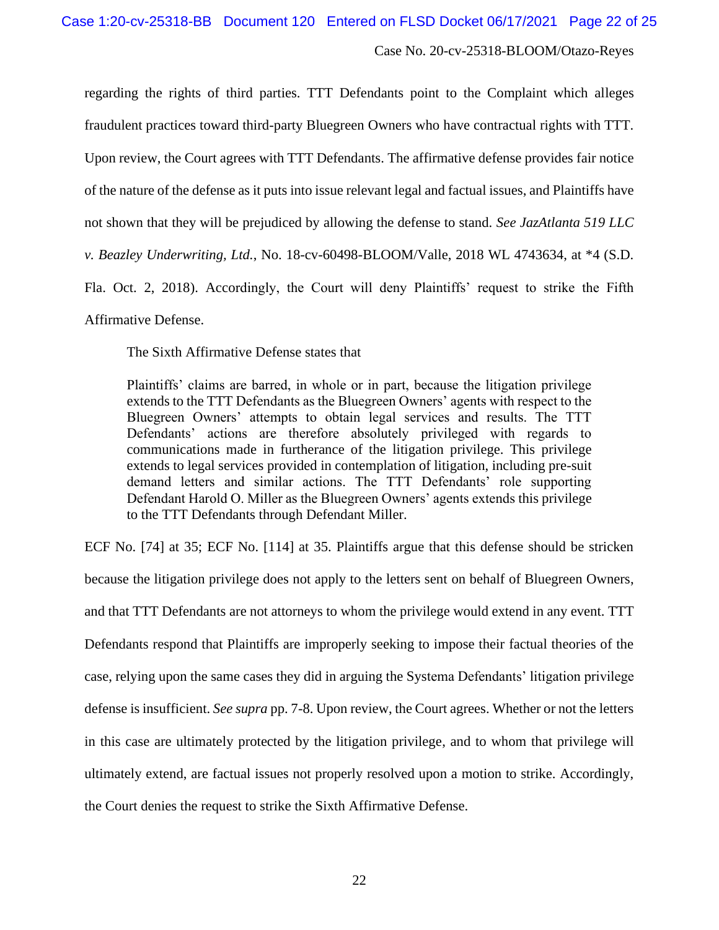regarding the rights of third parties. TTT Defendants point to the Complaint which alleges fraudulent practices toward third-party Bluegreen Owners who have contractual rights with TTT. Upon review, the Court agrees with TTT Defendants. The affirmative defense provides fair notice of the nature of the defense as it puts into issue relevant legal and factual issues, and Plaintiffs have not shown that they will be prejudiced by allowing the defense to stand. *See JazAtlanta 519 LLC v. Beazley Underwriting, Ltd.*, No. 18-cv-60498-BLOOM/Valle, 2018 WL 4743634, at \*4 (S.D. Fla. Oct. 2, 2018). Accordingly, the Court will deny Plaintiffs' request to strike the Fifth Affirmative Defense.

The Sixth Affirmative Defense states that

Plaintiffs' claims are barred, in whole or in part, because the litigation privilege extends to the TTT Defendants as the Bluegreen Owners' agents with respect to the Bluegreen Owners' attempts to obtain legal services and results. The TTT Defendants' actions are therefore absolutely privileged with regards to communications made in furtherance of the litigation privilege. This privilege extends to legal services provided in contemplation of litigation, including pre-suit demand letters and similar actions. The TTT Defendants' role supporting Defendant Harold O. Miller as the Bluegreen Owners' agents extends this privilege to the TTT Defendants through Defendant Miller.

ECF No. [74] at 35; ECF No. [114] at 35. Plaintiffs argue that this defense should be stricken because the litigation privilege does not apply to the letters sent on behalf of Bluegreen Owners, and that TTT Defendants are not attorneys to whom the privilege would extend in any event. TTT Defendants respond that Plaintiffs are improperly seeking to impose their factual theories of the case, relying upon the same cases they did in arguing the Systema Defendants' litigation privilege defense is insufficient. *See supra* pp. 7-8. Upon review, the Court agrees. Whether or not the letters in this case are ultimately protected by the litigation privilege, and to whom that privilege will ultimately extend, are factual issues not properly resolved upon a motion to strike. Accordingly, the Court denies the request to strike the Sixth Affirmative Defense.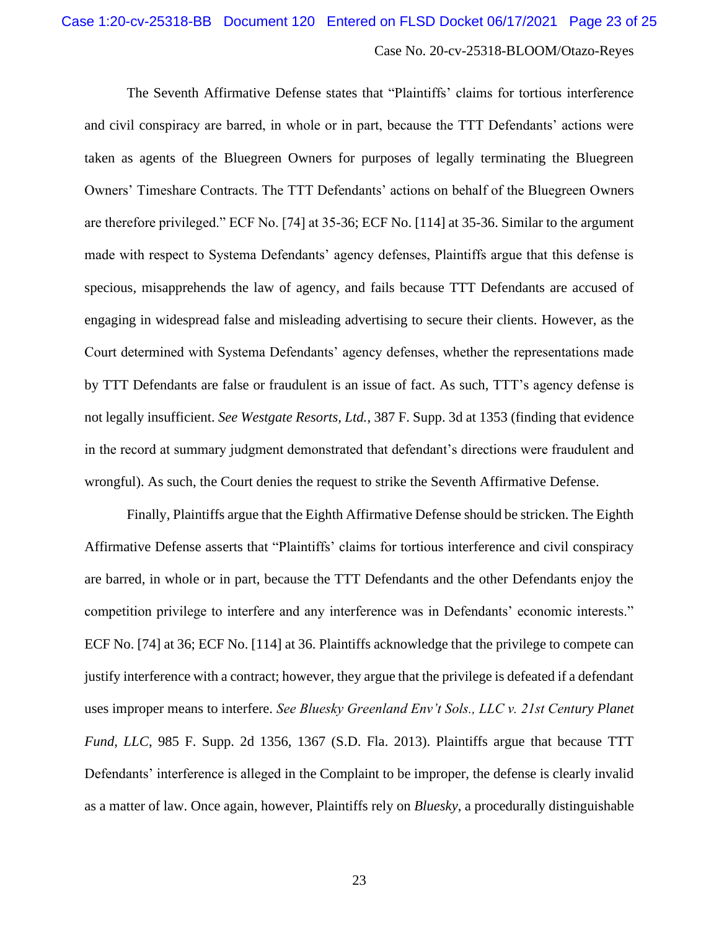The Seventh Affirmative Defense states that "Plaintiffs' claims for tortious interference and civil conspiracy are barred, in whole or in part, because the TTT Defendants' actions were taken as agents of the Bluegreen Owners for purposes of legally terminating the Bluegreen Owners' Timeshare Contracts. The TTT Defendants' actions on behalf of the Bluegreen Owners are therefore privileged." ECF No. [74] at 35-36; ECF No. [114] at 35-36. Similar to the argument made with respect to Systema Defendants' agency defenses, Plaintiffs argue that this defense is specious, misapprehends the law of agency, and fails because TTT Defendants are accused of engaging in widespread false and misleading advertising to secure their clients. However, as the Court determined with Systema Defendants' agency defenses, whether the representations made by TTT Defendants are false or fraudulent is an issue of fact. As such, TTT's agency defense is not legally insufficient. *See Westgate Resorts, Ltd.*, 387 F. Supp. 3d at 1353 (finding that evidence in the record at summary judgment demonstrated that defendant's directions were fraudulent and wrongful). As such, the Court denies the request to strike the Seventh Affirmative Defense.

Finally, Plaintiffs argue that the Eighth Affirmative Defense should be stricken. The Eighth Affirmative Defense asserts that "Plaintiffs' claims for tortious interference and civil conspiracy are barred, in whole or in part, because the TTT Defendants and the other Defendants enjoy the competition privilege to interfere and any interference was in Defendants' economic interests." ECF No. [74] at 36; ECF No. [114] at 36. Plaintiffs acknowledge that the privilege to compete can justify interference with a contract; however, they argue that the privilege is defeated if a defendant uses improper means to interfere. *See Bluesky Greenland Env't Sols., LLC v. 21st Century Planet Fund, LLC*, 985 F. Supp. 2d 1356, 1367 (S.D. Fla. 2013). Plaintiffs argue that because TTT Defendants' interference is alleged in the Complaint to be improper, the defense is clearly invalid as a matter of law. Once again, however, Plaintiffs rely on *Bluesky*, a procedurally distinguishable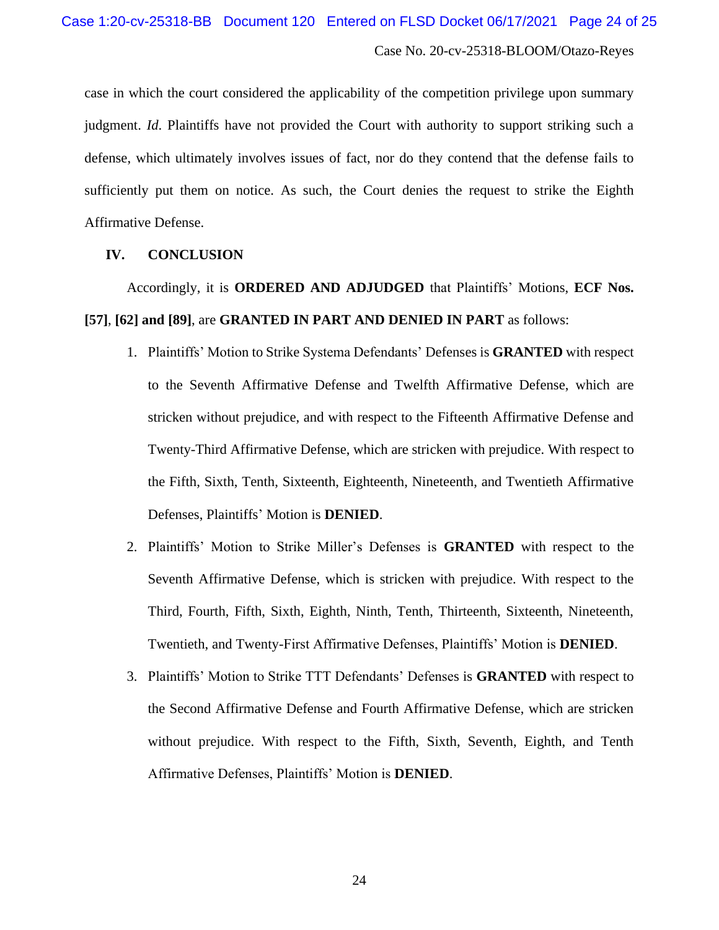case in which the court considered the applicability of the competition privilege upon summary judgment. *Id*. Plaintiffs have not provided the Court with authority to support striking such a defense, which ultimately involves issues of fact, nor do they contend that the defense fails to sufficiently put them on notice. As such, the Court denies the request to strike the Eighth Affirmative Defense.

#### **IV. CONCLUSION**

Accordingly, it is **ORDERED AND ADJUDGED** that Plaintiffs' Motions, **ECF Nos. [57]**, **[62] and [89]**, are **GRANTED IN PART AND DENIED IN PART** as follows:

- 1. Plaintiffs' Motion to Strike Systema Defendants' Defenses is **GRANTED** with respect to the Seventh Affirmative Defense and Twelfth Affirmative Defense, which are stricken without prejudice, and with respect to the Fifteenth Affirmative Defense and Twenty-Third Affirmative Defense, which are stricken with prejudice. With respect to the Fifth, Sixth, Tenth, Sixteenth, Eighteenth, Nineteenth, and Twentieth Affirmative Defenses, Plaintiffs' Motion is **DENIED**.
- 2. Plaintiffs' Motion to Strike Miller's Defenses is **GRANTED** with respect to the Seventh Affirmative Defense, which is stricken with prejudice. With respect to the Third, Fourth, Fifth, Sixth, Eighth, Ninth, Tenth, Thirteenth, Sixteenth, Nineteenth, Twentieth, and Twenty-First Affirmative Defenses, Plaintiffs' Motion is **DENIED**.
- 3. Plaintiffs' Motion to Strike TTT Defendants' Defenses is **GRANTED** with respect to the Second Affirmative Defense and Fourth Affirmative Defense, which are stricken without prejudice. With respect to the Fifth, Sixth, Seventh, Eighth, and Tenth Affirmative Defenses, Plaintiffs' Motion is **DENIED**.